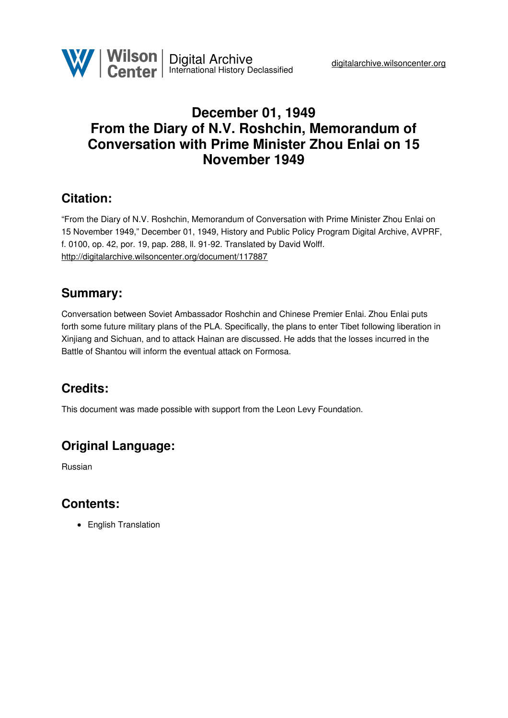## **December 01, 1949 From the Diary of N.V. Roshchin, Memorandum of Conversation with Prime Minister Zhou Enlai on 15 November 1949**

## **Citation:**

"From the Diary of N.V. Roshchin, Memorandum of Conversation with Prime Minister Zhou Enlai on 15 November 1949," December 01, 1949, History and Public Policy Program Digital Archive, AVPRF, f. 0100, op. 42, por. 19, pap. 288, ll. 91-92. Translated by David Wolff. <http://digitalarchive.wilsoncenter.org/document/117887>

### **Summary:**

Conversation between Soviet Ambassador Roshchin and Chinese Premier Enlai. Zhou Enlai puts forth some future military plans of the PLA. Specifically, the plans to enter Tibet following liberation in Xinjiang and Sichuan, and to attack Hainan are discussed. He adds that the losses incurred in the Battle of Shantou will inform the eventual attack on Formosa.

# **Credits:**

This document was made possible with support from the Leon Levy Foundation.

# **Original Language:**

Russian

### **Contents:**

• English Translation